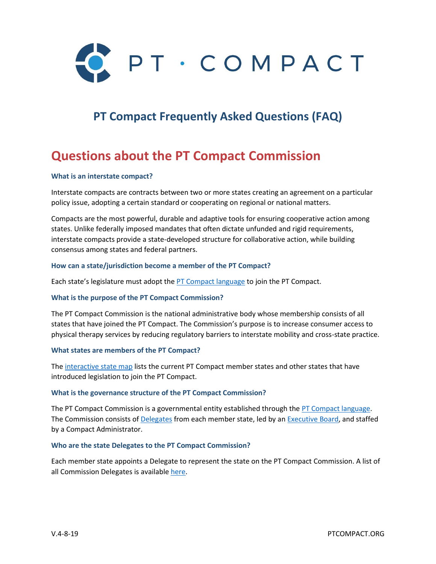

# **PT Compact Frequently Asked Questions (FAQ)**

# **Questions about the PT Compact Commission**

#### **What is an interstate compact?**

Interstate compacts are contracts between two or more states creating an agreement on a particular policy issue, adopting a certain standard or cooperating on regional or national matters.

Compacts are the most powerful, durable and adaptive tools for ensuring cooperative action among states. Unlike federally imposed mandates that often dictate unfunded and rigid requirements, interstate compacts provide a state-developed structure for collaborative action, while building consensus among states and federal partners.

#### **How can a state/jurisdiction become a member of the PT Compact?**

Each state's legislature must adopt the [PT Compact language](http://ptcompact.org/Portals/0/Images/PT_Compact_Language_Final.pdf?ver=2017-09-14-171542-143) to join the PT Compact.

#### **What is the purpose of the PT Compact Commission?**

The PT Compact Commission is the national administrative body whose membership consists of all states that have joined the PT Compact. The Commission's purpose is to increase consumer access to physical therapy services by reducing regulatory barriers to interstate mobility and cross-state practice.

#### **What states are members of the PT Compact?**

The [interactive state map](http://ptcompact.org/ptc-states) lists the current PT Compact member states and other states that have introduced legislation to join the PT Compact.

#### **What is the governance structure of the PT Compact Commission?**

The PT Compact Commission is a governmental entity established through the [PT Compact language.](http://ptcompact.org/Portals/0/Images/PT_Compact_Language_Final.pdf?ver=2017-09-14-171542-143) The Commission consists o[f Delegates](http://ptcompact.org/Portals/0/Images/PTCompactMemberBoardDelegates_20181031.pdf?ver=2017-09-14-171542-143) from each member state, led by a[n Executive Board,](http://ptcompact.org/Portals/0/Images/PTCC%20Executive%20Board%20as%20of%20October%2028%202018.pdf?ver=2017-11-09-174604-073) and staffed by a Compact Administrator.

#### **Who are the state Delegates to the PT Compact Commission?**

Each member state appoints a Delegate to represent the state on the PT Compact Commission. A list of all Commission Delegates is available [here.](http://ptcompact.org/Portals/0/Images/PTCompactMemberBoardDelegates_20181031.pdf?ver=2017-09-14-171542-143)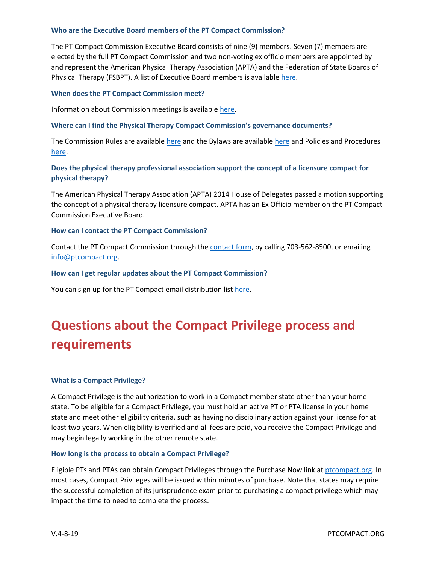#### **Who are the Executive Board members of the PT Compact Commission?**

The PT Compact Commission Executive Board consists of nine (9) members. Seven (7) members are elected by the full PT Compact Commission and two non-voting ex officio members are appointed by and represent the American Physical Therapy Association (APTA) and the Federation of State Boards of Physical Therapy (FSBPT). A list of Executive Board members is available [here.](http://ptcompact.org/Portals/0/Images/PTCC%20Executive%20Board%20as%20of%20October%2028%202018.pdf?ver=2017-11-09-174604-073)

#### **When does the PT Compact Commission meet?**

Information about Commission meetings is availabl[e here.](http://ptcompact.org/meeting-information)

#### **Where can I find the Physical Therapy Compact Commission's governance documents?**

The Commission Rules are available [here](http://ptcompact.org/Portals/0/Images/PTCCRulesEffective20181028.pdf) and the Bylaws are available [here](http://ptcompact.org/Portals/0/Images/PTCCBylawsEffective20181028.pdf) and Policies and Procedures [here.](http://ptcompact.org/Portals/0/Images/PTCCPolicyAndProcedureManualEffective20181028.pdf)

# **Does the physical therapy professional association support the concept of a licensure compact for physical therapy?**

The American Physical Therapy Association (APTA) 2014 House of Delegates passed a motion supporting the concept of a physical therapy licensure compact. APTA has an Ex Officio member on the PT Compact Commission Executive Board.

#### **How can I contact the PT Compact Commission?**

Contact the PT Compact Commission through the [contact form,](http://ptcompact.org/ContactUs) by calling 703-562-8500, or emailing [info@ptcompact.org.](mailto:info@ptcompact.org)

#### **How can I get regular updates about the PT Compact Commission?**

You can sign up for the PT Compact email distribution list [here.](https://visitor.r20.constantcontact.com/manage/optin?v=001XqfEe8KjuzIou5OITvtc65OniusNfmQzSfhuHvYBFa4kQEVYlvMypPUXrnqXt8KW15CibGS1d3tkgTLXHZv51iRTpkvvj5egNp7Nivt3aRg%3D)

# **Questions about the Compact Privilege process and requirements**

#### **What is a Compact Privilege?**

A Compact Privilege is the authorization to work in a Compact member state other than your home state. To be eligible for a Compact Privilege, you must hold an active PT or PTA license in your home state and meet other eligibility criteria, such as having no disciplinary action against your license for at least two years. When eligibility is verified and all fees are paid, you receive the Compact Privilege and may begin legally working in the other remote state.

#### **How long is the process to obtain a Compact Privilege?**

Eligible PTs and PTAs can obtain Compact Privileges through the Purchase Now link a[t ptcompact.org.](file:///C:/Users/t.j.cantwell/AppData/Local/Microsoft/Windows/Temporary%20Internet%20Files/Content.Outlook/12RXUG56/ptcompact.org) In most cases, Compact Privileges will be issued within minutes of purchase. Note that states may require the successful completion of its jurisprudence exam prior to purchasing a compact privilege which may impact the time to need to complete the process.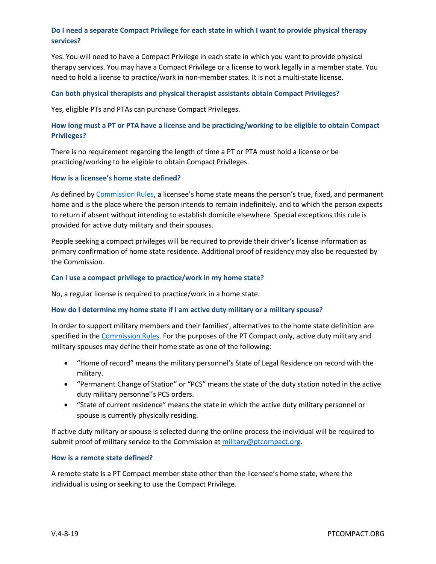# **Do I need a separate Compact Privilege for each state in which I want to provide physical therapy services?**

Yes. You will need to have a Compact Privilege in each state in which you want to provide physical therapy services. You may have a Compact Privilege or a license to work legally in a member state. You need to hold a license to practice/work in non-member states. It is not a multi-state license.

#### **Can both physical therapists and physical therapist assistants obtain Compact Privileges?**

Yes, eligible PTs and PTAs can purchase Compact Privileges.

# **How long must a PT or PTA have a license and be practicing/working to be eligible to obtain Compact Privileges?**

There is no requirement regarding the length of time a PT or PTA must hold a license or be practicing/working to be eligible to obtain Compact Privileges.

#### **How is a licensee's home state defined?**

As defined by [Commission Rules,](http://ptcompact.org/Portals/0/Images/PTCCRulesEffective20181028.pdf) a licensee's home state means the person's true, fixed, and permanent home and is the place where the person intends to remain indefinitely, and to which the person expects to return if absent without intending to establish domicile elsewhere. Special exceptions this rule is provided for active duty military and their spouses.

People seeking a compact privileges will be required to provide their driver's license information as primary confirmation of home state residence. Additional proof of residency may also be requested by the Commission.

#### **Can I use a compact privilege to practice/work in my home state?**

No, a regular license is required to practice/work in a home state.

#### **How do I determine my home state if I am active duty military or a military spouse?**

In order to support military members and their families', alternatives to the home state definition are specified in th[e Commission Rules.](http://ptcompact.org/Portals/0/Images/PTCCRulesEffective20181028.pdf) For the purposes of the PT Compact only, active duty military and military spouses may define their home state as one of the following:

- "Home of record" means the military personnel's State of Legal Residence on record with the military.
- "Permanent Change of Station" or "PCS" means the state of the duty station noted in the active duty military personnel's PCS orders.
- "State of current residence" means the state in which the active duty military personnel or spouse is currently physically residing.

If active duty military or spouse is selected during the online process the individual will be required to submit proof of military service to the Commission at [military@ptcompact.org.](mailto:military@ptcompact.org)

#### **How is a remote state defined?**

A remote state is a PT Compact member state other than the licensee's home state, where the individual is using or seeking to use the Compact Privilege.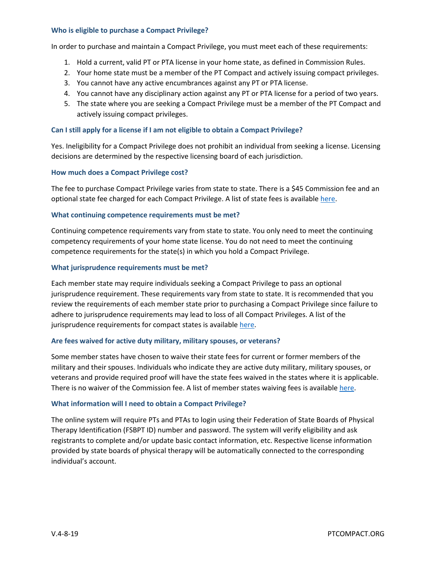#### **Who is eligible to purchase a Compact Privilege?**

In order to purchase and maintain a Compact Privilege, you must meet each of these requirements:

- 1. Hold a current, valid PT or PTA license in your home state, as defined in Commission Rules.
- 2. Your home state must be a member of the PT Compact and actively issuing compact privileges.
- 3. You cannot have any active encumbrances against any PT or PTA license.
- 4. You cannot have any disciplinary action against any PT or PTA license for a period of two years.
- 5. The state where you are seeking a Compact Privilege must be a member of the PT Compact and actively issuing compact privileges.

#### **Can I still apply for a license if I am not eligible to obtain a Compact Privilege?**

Yes. Ineligibility for a Compact Privilege does not prohibit an individual from seeking a license. Licensing decisions are determined by the respective licensing board of each jurisdiction.

#### **How much does a Compact Privilege cost?**

The fee to purchase Compact Privilege varies from state to state. There is a \$45 Commission fee and an optional state fee charged for each Compact Privilege. A list of state fees is available [here.](http://ptcompact.org/Compact-Privilege-Fee-Jurisprudence-and-Waiver-Table)

#### **What continuing competence requirements must be met?**

Continuing competence requirements vary from state to state. You only need to meet the continuing competency requirements of your home state license. You do not need to meet the continuing competence requirements for the state(s) in which you hold a Compact Privilege.

#### **What jurisprudence requirements must be met?**

Each member state may require individuals seeking a Compact Privilege to pass an optional jurisprudence requirement. These requirements vary from state to state. It is recommended that you review the requirements of each member state prior to purchasing a Compact Privilege since failure to adhere to jurisprudence requirements may lead to loss of all Compact Privileges. A list of the jurisprudence requirements for compact states is available [here.](http://ptcompact.org/Compact-Privilege-Fee-Jurisprudence-and-Waiver-Table)

#### **Are fees waived for active duty military, military spouses, or veterans?**

Some member states have chosen to waive their state fees for current or former members of the military and their spouses. Individuals who indicate they are active duty military, military spouses, or veterans and provide required proof will have the state fees waived in the states where it is applicable. There is no waiver of the Commission fee. A list of member states waiving fees is available [here.](http://ptcompact.org/Compact-Privilege-Fee-Jurisprudence-and-Waiver-Table)

#### **What information will I need to obtain a Compact Privilege?**

The online system will require PTs and PTAs to login using their Federation of State Boards of Physical Therapy Identification (FSBPT ID) number and password. The system will verify eligibility and ask registrants to complete and/or update basic contact information, etc. Respective license information provided by state boards of physical therapy will be automatically connected to the corresponding individual's account.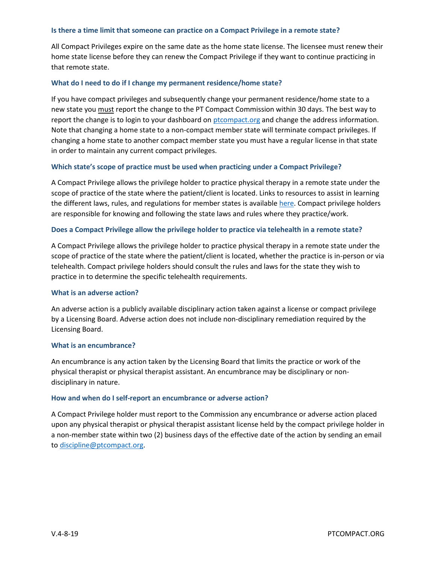#### **Is there a time limit that someone can practice on a Compact Privilege in a remote state?**

All Compact Privileges expire on the same date as the home state license. The licensee must renew their home state license before they can renew the Compact Privilege if they want to continue practicing in that remote state.

#### **What do I need to do if I change my permanent residence/home state?**

If you have compact privileges and subsequently change your permanent residence/home state to a new state you must report the change to the PT Compact Commission within 30 days. The best way to report the change is to login to your dashboard o[n ptcompact.org](http://ptcompact.org/) and change the address information. Note that changing a home state to a non-compact member state will terminate compact privileges. If changing a home state to another compact member state you must have a regular license in that state in order to maintain any current compact privileges.

#### **Which state's scope of practice must be used when practicing under a Compact Privilege?**

A Compact Privilege allows the privilege holder to practice physical therapy in a remote state under the scope of practice of the state where the patient/client is located. Links to resources to assist in learning the different laws, rules, and regulations for member states is available [here.](http://ptcompact.org/resources-tools) Compact privilege holders are responsible for knowing and following the state laws and rules where they practice/work.

#### **Does a Compact Privilege allow the privilege holder to practice via telehealth in a remote state?**

A Compact Privilege allows the privilege holder to practice physical therapy in a remote state under the scope of practice of the state where the patient/client is located, whether the practice is in-person or via telehealth. Compact privilege holders should consult the rules and laws for the state they wish to practice in to determine the specific telehealth requirements.

#### **What is an adverse action?**

An adverse action is a publicly available disciplinary action taken against a license or compact privilege by a Licensing Board. Adverse action does not include non-disciplinary remediation required by the Licensing Board.

#### **What is an encumbrance?**

An encumbrance is any action taken by the Licensing Board that limits the practice or work of the physical therapist or physical therapist assistant. An encumbrance may be disciplinary or nondisciplinary in nature.

#### **How and when do I self-report an encumbrance or adverse action?**

A Compact Privilege holder must report to the Commission any encumbrance or adverse action placed upon any physical therapist or physical therapist assistant license held by the compact privilege holder in a non-member state within two (2) business days of the effective date of the action by sending an email to [discipline@ptcompact.org.](mailto:discipline@ptcompact.org)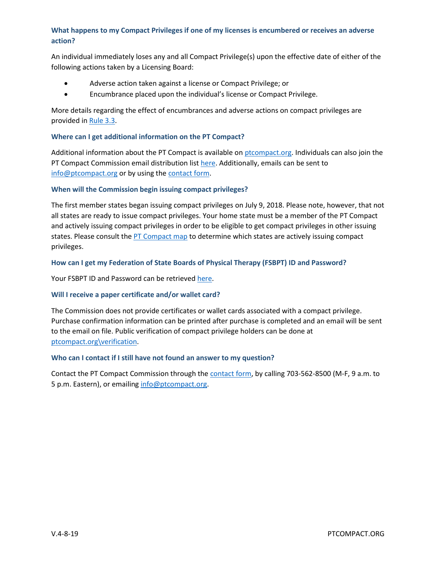# **What happens to my Compact Privileges if one of my licenses is encumbered or receives an adverse action?**

An individual immediately loses any and all Compact Privilege(s) upon the effective date of either of the following actions taken by a Licensing Board:

- Adverse action taken against a license or Compact Privilege; or
- Encumbrance placed upon the individual's license or Compact Privilege.

More details regarding the effect of encumbrances and adverse actions on compact privileges are provided in [Rule 3.3.](http://ptcompact.org/Portals/0/Images/PTCCRulesEffective20181028.pdf)

#### **Where can I get additional information on the PT Compact?**

Additional information about the PT Compact is available o[n ptcompact.org.](http://ptcompact.org/) Individuals can also join the PT Compact Commission email distribution list [here.](http://ptcompact.org/Compact-Privilege-Fee-Jurisprudence-and-Waiver-Table) Additionally, emails can be sent to [info@ptcompact.org](mailto:info@ptcompact.org) or by using the [contact form.](http://ptcompact.org/ContactUs)

#### **When will the Commission begin issuing compact privileges?**

The first member states began issuing compact privileges on July 9, 2018. Please note, however, that not all states are ready to issue compact privileges. Your home state must be a member of the PT Compact and actively issuing compact privileges in order to be eligible to get compact privileges in other issuing states. Please consult th[e PT Compact map](http://ptcompact.org/ptc-states) to determine which states are actively issuing compact privileges.

#### **How can I get my Federation of State Boards of Physical Therapy (FSBPT) ID and Password?**

Your FSBPT ID and Password can be retrieved [here.](https://purchase.ptcompact.org/Account/Login?ReturnUrl=%2F)

#### **Will I receive a paper certificate and/or wallet card?**

The Commission does not provide certificates or wallet cards associated with a compact privilege. Purchase confirmation information can be printed after purchase is completed and an email will be sent to the email on file. Public verification of compact privilege holders can be done at [ptcompact.org\verification.](http://ptcompact.org/verification)

#### **Who can I contact if I still have not found an answer to my question?**

Contact the PT Compact Commission through the [contact form,](http://ptcompact.org/ContactUs) by calling 703-562-8500 (M-F, 9 a.m. to 5 p.m. Eastern), or emailin[g info@ptcompact.org.](mailto:info@ptcompact.org)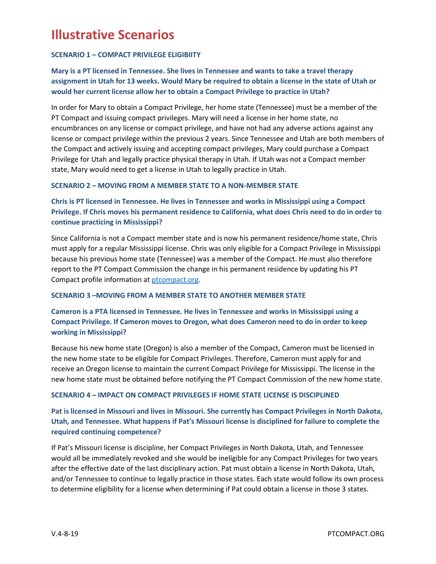# **Illustrative Scenarios**

#### **SCENARIO 1 – COMPACT PRIVILEGE ELIGIBIITY**

# **Mary is a PT licensed in Tennessee. She lives in Tennessee and wants to take a travel therapy assignment in Utah for 13 weeks. Would Mary be required to obtain a license in the state of Utah or would her current license allow her to obtain a Compact Privilege to practice in Utah?**

In order for Mary to obtain a Compact Privilege, her home state (Tennessee) must be a member of the PT Compact and issuing compact privileges. Mary will need a license in her home state, no encumbrances on any license or compact privilege, and have not had any adverse actions against any license or compact privilege within the previous 2 years. Since Tennessee and Utah are both members of the Compact and actively issuing and accepting compact privileges, Mary could purchase a Compact Privilege for Utah and legally practice physical therapy in Utah. If Utah was not a Compact member state, Mary would need to get a license in Utah to legally practice in Utah.

# **SCENARIO 2 – MOVING FROM A MEMBER STATE TO A NON-MEMBER STATE**

# **Chris is PT licensed in Tennessee. He lives in Tennessee and works in Mississippi using a Compact Privilege. If Chris moves his permanent residence to California, what does Chris need to do in order to continue practicing in Mississippi?**

Since California is not a Compact member state and is now his permanent residence/home state, Chris must apply for a regular Mississippi license. Chris was only eligible for a Compact Privilege in Mississippi because his previous home state (Tennessee) was a member of the Compact. He must also therefore report to the PT Compact Commission the change in his permanent residence by updating his PT Compact profile information at [ptcompact.org.](http://ptcompact.org/)

#### **SCENARIO 3 –MOVING FROM A MEMBER STATE TO ANOTHER MEMBER STATE**

# **Cameron is a PTA licensed in Tennessee. He lives in Tennessee and works in Mississippi using a Compact Privilege. If Cameron moves to Oregon, what does Cameron need to do in order to keep working in Mississippi?**

Because his new home state (Oregon) is also a member of the Compact, Cameron must be licensed in the new home state to be eligible for Compact Privileges. Therefore, Cameron must apply for and receive an Oregon license to maintain the current Compact Privilege for Mississippi. The license in the new home state must be obtained before notifying the PT Compact Commission of the new home state.

#### **SCENARIO 4 – IMPACT ON COMPACT PRIVILEGES IF HOME STATE LICENSE IS DISCIPLINED**

# **Pat is licensed in Missouri and lives in Missouri. She currently has Compact Privileges in North Dakota, Utah, and Tennessee. What happens if Pat's Missouri license is disciplined for failure to complete the required continuing competence?**

If Pat's Missouri license is discipline, her Compact Privileges in North Dakota, Utah, and Tennessee would all be immediately revoked and she would be ineligible for any Compact Privileges for two years after the effective date of the last disciplinary action. Pat must obtain a license in North Dakota, Utah, and/or Tennessee to continue to legally practice in those states. Each state would follow its own process to determine eligibility for a license when determining if Pat could obtain a license in those 3 states.